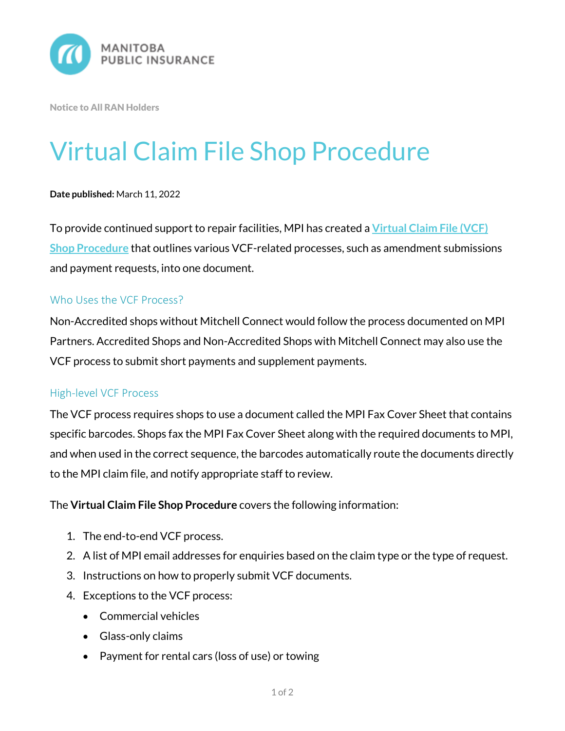

Notice to All RAN Holders

# Virtual Claim File Shop Procedure

#### **Date published:** March 11, 2022

To provide continued support to repair facilities, MPI has created a **[Virtual Claim File \(VCF\)](https://mpipartners.ca/documents/Policies_Procedures/Virtual-Claim-File-Shop-Procedures.pdf)  Shop [Procedure](https://mpipartners.ca/documents/Policies_Procedures/Virtual-Claim-File-Shop-Procedures.pdf)** that outlines various VCF-related processes, such as amendment submissions and payment requests, into one document.

### Who Uses the VCF Process?

Non-Accredited shops without Mitchell Connect would follow the process documented on MPI Partners. Accredited Shops and Non-Accredited Shops with Mitchell Connect may also use the VCF process to submit short payments and supplement payments.

### High-level VCF Process

The VCF process requires shops to use a document called the MPI Fax Cover Sheet that contains specific barcodes. Shops fax the MPI Fax Cover Sheet along with the required documents to MPI, and when used in the correct sequence, the barcodes automatically route the documents directly to the MPI claim file, and notify appropriate staff to review.

The **Virtual Claim File Shop Procedure** covers the following information:

- 1. The end-to-end VCF process.
- 2. A list of MPI email addresses for enquiries based on the claim type or the type of request.
- 3. Instructions on how to properly submit VCF documents.
- 4. Exceptions to the VCF process:
	- Commercial vehicles
	- Glass-only claims
	- Payment for rental cars (loss of use) or towing